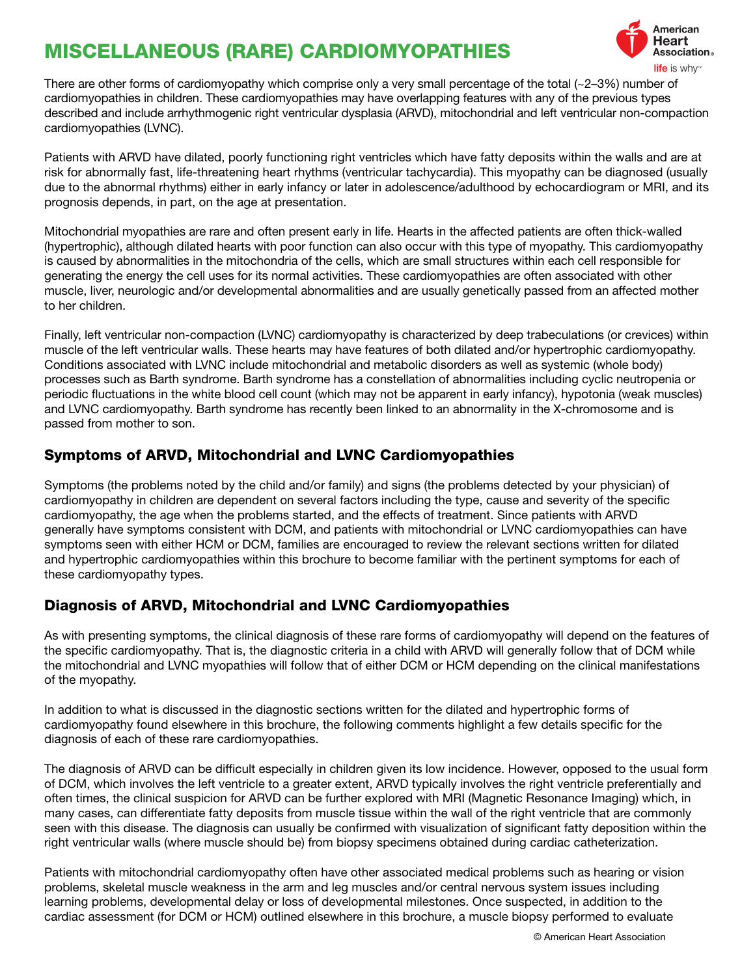# MISCELLANEOUS (RARE) CARDIOMYOPATHIES



There are other forms of cardiomyopathy which comprise only a very small percentage of the total (~2–3%) number of cardiomyopathies in children. These cardiomyopathies may have overlapping features with any of the previous types described and include arrhythmogenic right ventricular dysplasia (ARVD), mitochondrial and left ventricular non-compaction cardiomyopathies (LVNC).

Patients with ARVD have dilated, poorly functioning right ventricles which have fatty deposits within the walls and are at risk for abnormally fast, life-threatening heart rhythms (ventricular tachycardia). This myopathy can be diagnosed (usually due to the abnormal rhythms) either in early infancy or later in adolescence/adulthood by echocardiogram or MRI, and its prognosis depends, in part, on the age at presentation.

Mitochondrial myopathies are rare and often present early in life. Hearts in the affected patients are often thick-walled (hypertrophic), although dilated hearts with poor function can also occur with this type of myopathy. This cardiomyopathy is caused by abnormalities in the mitochondria of the cells, which are small structures within each cell responsible for generating the energy the cell uses for its normal activities. These cardiomyopathies are often associated with other muscle, liver, neurologic and/or developmental abnormalities and are usually genetically passed from an affected mother to her children.

Finally, left ventricular non-compaction (LVNC) cardiomyopathy is characterized by deep trabeculations (or crevices) within muscle of the left ventricular walls. These hearts may have features of both dilated and/or hypertrophic cardiomyopathy. Conditions associated with LVNC include mitochondrial and metabolic disorders as well as systemic (whole body) processes such as Barth syndrome. Barth syndrome has a constellation of abnormalities including cyclic neutropenia or periodic fluctuations in the white blood cell count (which may not be apparent in early infancy), hypotonia (weak muscles) and LVNC cardiomyopathy. Barth syndrome has recently been linked to an abnormality in the X-chromosome and is passed from mother to son.

## Symptoms of ARVD, Mitochondrial and LVNC Cardiomyopathies

Symptoms (the problems noted by the child and/or family) and signs (the problems detected by your physician) of cardiomyopathy in children are dependent on several factors including the type, cause and severity of the specific cardiomyopathy, the age when the problems started, and the effects of treatment. Since patients with ARVD generally have symptoms consistent with DCM, and patients with mitochondrial or LVNC cardiomyopathies can have symptoms seen with either HCM or DCM, families are encouraged to review the relevant sections written for dilated and hypertrophic cardiomyopathies within this brochure to become familiar with the pertinent symptoms for each of these cardiomyopathy types.

#### Diagnosis of ARVD, Mitochondrial and LVNC Cardiomyopathies

As with presenting symptoms, the clinical diagnosis of these rare forms of cardiomyopathy will depend on the features of the specific cardiomyopathy. That is, the diagnostic criteria in a child with ARVD will generally follow that of DCM while the mitochondrial and LVNC myopathies will follow that of either DCM or HCM depending on the clinical manifestations of the myopathy.

In addition to what is discussed in the diagnostic sections written for the dilated and hypertrophic forms of cardiomyopathy found elsewhere in this brochure, the following comments highlight a few details specific for the diagnosis of each of these rare cardiomyopathies.

The diagnosis of ARVD can be difficult especially in children given its low incidence. However, opposed to the usual form of DCM, which involves the left ventricle to a greater extent, ARVD typically involves the right ventricle preferentially and often times, the clinical suspicion for ARVD can be further explored with MRI (Magnetic Resonance Imaging) which, in many cases, can differentiate fatty deposits from muscle tissue within the wall of the right ventricle that are commonly seen with this disease. The diagnosis can usually be confirmed with visualization of significant fatty deposition within the right ventricular walls (where muscle should be) from biopsy specimens obtained during cardiac catheterization.

Patients with mitochondrial cardiomyopathy often have other associated medical problems such as hearing or vision problems, skeletal muscle weakness in the arm and leg muscles and/or central nervous system issues including learning problems, developmental delay or loss of developmental milestones. Once suspected, in addition to the cardiac assessment (for DCM or HCM) outlined elsewhere in this brochure, a muscle biopsy performed to evaluate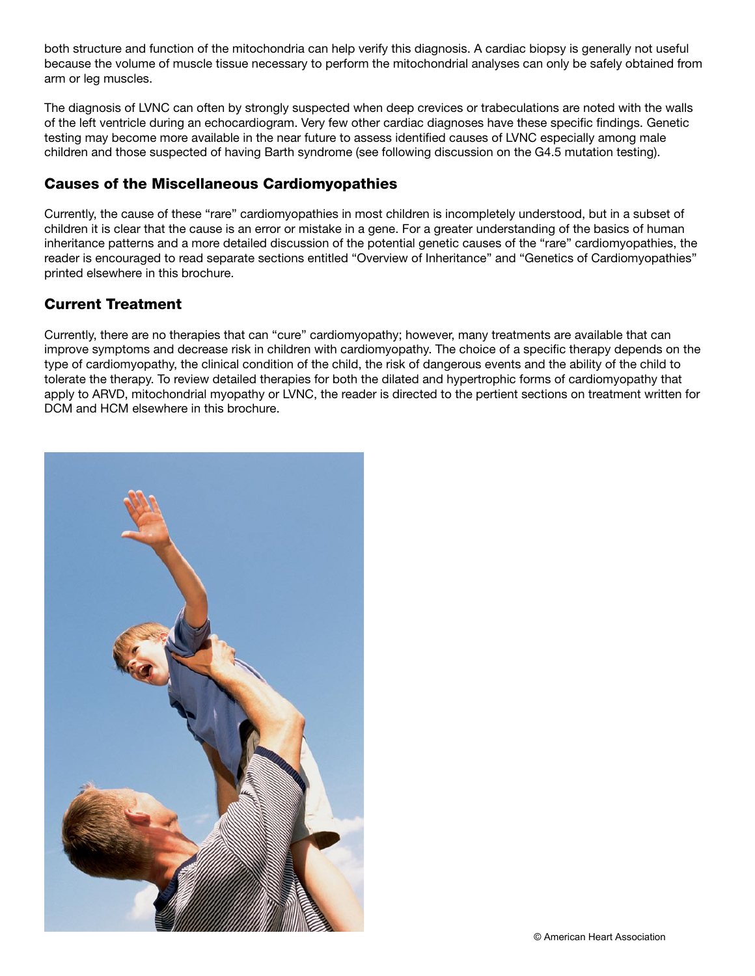both structure and function of the mitochondria can help verify this diagnosis. A cardiac biopsy is generally not useful because the volume of muscle tissue necessary to perform the mitochondrial analyses can only be safely obtained from arm or leg muscles.

The diagnosis of LVNC can often by strongly suspected when deep crevices or trabeculations are noted with the walls of the left ventricle during an echocardiogram. Very few other cardiac diagnoses have these specific findings. Genetic testing may become more available in the near future to assess identified causes of LVNC especially among male children and those suspected of having Barth syndrome (see following discussion on the G4.5 mutation testing).

## Causes of the Miscellaneous Cardiomyopathies

Currently, the cause of these "rare" cardiomyopathies in most children is incompletely understood, but in a subset of children it is clear that the cause is an error or mistake in a gene. For a greater understanding of the basics of human inheritance patterns and a more detailed discussion of the potential genetic causes of the "rare" cardiomyopathies, the reader is encouraged to read separate sections entitled "Overview of Inheritance" and "Genetics of Cardiomyopathies" printed elsewhere in this brochure.

# Current Treatment

Currently, there are no therapies that can "cure" cardiomyopathy; however, many treatments are available that can improve symptoms and decrease risk in children with cardiomyopathy. The choice of a specific therapy depends on the type of cardiomyopathy, the clinical condition of the child, the risk of dangerous events and the ability of the child to tolerate the therapy. To review detailed therapies for both the dilated and hypertrophic forms of cardiomyopathy that apply to ARVD, mitochondrial myopathy or LVNC, the reader is directed to the pertient sections on treatment written for DCM and HCM elsewhere in this brochure.

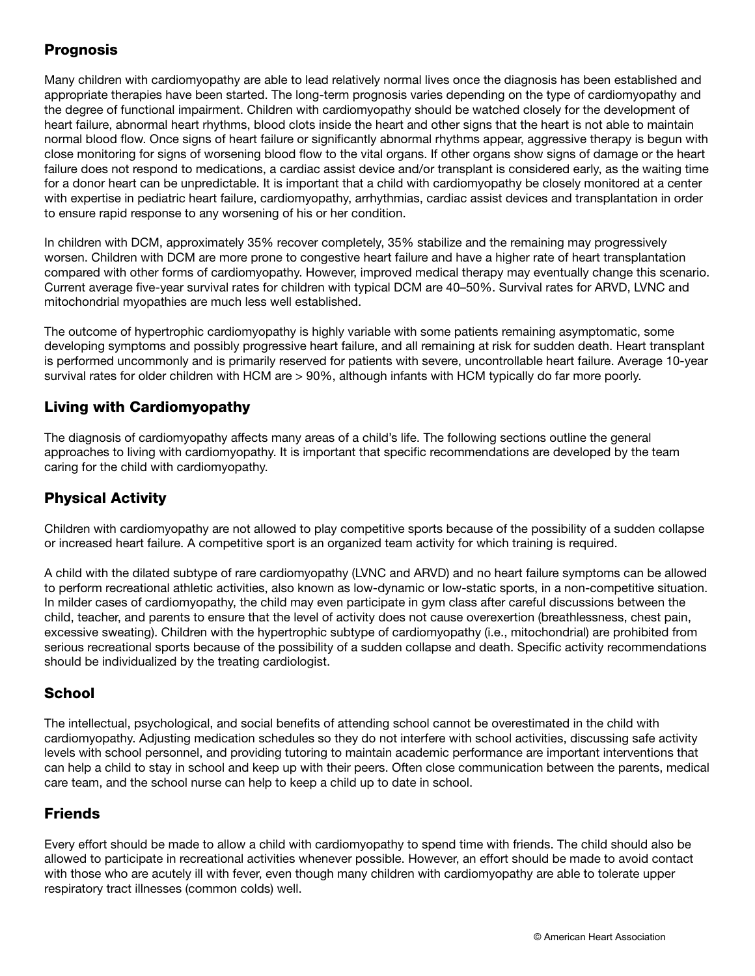# Prognosis

Many children with cardiomyopathy are able to lead relatively normal lives once the diagnosis has been established and appropriate therapies have been started. The long-term prognosis varies depending on the type of cardiomyopathy and the degree of functional impairment. Children with cardiomyopathy should be watched closely for the development of heart failure, abnormal heart rhythms, blood clots inside the heart and other signs that the heart is not able to maintain normal blood flow. Once signs of heart failure or significantly abnormal rhythms appear, aggressive therapy is begun with close monitoring for signs of worsening blood flow to the vital organs. If other organs show signs of damage or the heart failure does not respond to medications, a cardiac assist device and/or transplant is considered early, as the waiting time for a donor heart can be unpredictable. It is important that a child with cardiomyopathy be closely monitored at a center with expertise in pediatric heart failure, cardiomyopathy, arrhythmias, cardiac assist devices and transplantation in order to ensure rapid response to any worsening of his or her condition.

In children with DCM, approximately 35% recover completely, 35% stabilize and the remaining may progressively worsen. Children with DCM are more prone to congestive heart failure and have a higher rate of heart transplantation compared with other forms of cardiomyopathy. However, improved medical therapy may eventually change this scenario. Current average five-year survival rates for children with typical DCM are 40–50%. Survival rates for ARVD, LVNC and mitochondrial myopathies are much less well established.

The outcome of hypertrophic cardiomyopathy is highly variable with some patients remaining asymptomatic, some developing symptoms and possibly progressive heart failure, and all remaining at risk for sudden death. Heart transplant is performed uncommonly and is primarily reserved for patients with severe, uncontrollable heart failure. Average 10-year survival rates for older children with HCM are > 90%, although infants with HCM typically do far more poorly.

## Living with Cardiomyopathy

The diagnosis of cardiomyopathy affects many areas of a child's life. The following sections outline the general approaches to living with cardiomyopathy. It is important that specific recommendations are developed by the team caring for the child with cardiomyopathy.

# Physical Activity

Children with cardiomyopathy are not allowed to play competitive sports because of the possibility of a sudden collapse or increased heart failure. A competitive sport is an organized team activity for which training is required.

A child with the dilated subtype of rare cardiomyopathy (LVNC and ARVD) and no heart failure symptoms can be allowed to perform recreational athletic activities, also known as low-dynamic or low-static sports, in a non-competitive situation. In milder cases of cardiomyopathy, the child may even participate in gym class after careful discussions between the child, teacher, and parents to ensure that the level of activity does not cause overexertion (breathlessness, chest pain, excessive sweating). Children with the hypertrophic subtype of cardiomyopathy (i.e., mitochondrial) are prohibited from serious recreational sports because of the possibility of a sudden collapse and death. Specific activity recommendations should be individualized by the treating cardiologist.

#### **School**

The intellectual, psychological, and social benefits of attending school cannot be overestimated in the child with cardiomyopathy. Adjusting medication schedules so they do not interfere with school activities, discussing safe activity levels with school personnel, and providing tutoring to maintain academic performance are important interventions that can help a child to stay in school and keep up with their peers. Often close communication between the parents, medical care team, and the school nurse can help to keep a child up to date in school.

# Friends

Every effort should be made to allow a child with cardiomyopathy to spend time with friends. The child should also be allowed to participate in recreational activities whenever possible. However, an effort should be made to avoid contact with those who are acutely ill with fever, even though many children with cardiomyopathy are able to tolerate upper respiratory tract illnesses (common colds) well.